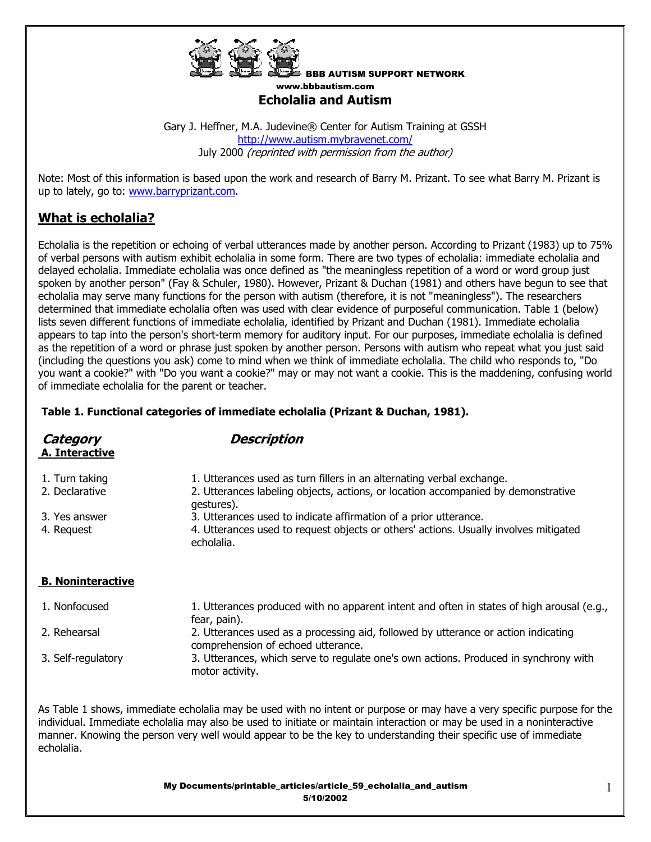

BBB AUTISM SUPPORT NETWORK www.bbbautism.com **Echolalia and Autism** 

Gary J. Heffner, M.A. Judevine® Center for Autism Training at GSSH http://www.autism.mybravenet.com/ July 2000 (reprinted with permission from the author)

Note: Most of this information is based upon the work and research of Barry M. Prizant. To see what Barry M. Prizant is up to lately, go to: www.barryprizant.com.

# **What is echolalia?**

Echolalia is the repetition or echoing of verbal utterances made by another person. According to Prizant (1983) up to 75% of verbal persons with autism exhibit echolalia in some form. There are two types of echolalia: immediate echolalia and delayed echolalia. Immediate echolalia was once defined as "the meaningless repetition of a word or word group just spoken by another person" (Fay & Schuler, 1980). However, Prizant & Duchan (1981) and others have begun to see that echolalia may serve many functions for the person with autism (therefore, it is not "meaningless"). The researchers determined that immediate echolalia often was used with clear evidence of purposeful communication. Table 1 (below) lists seven different functions of immediate echolalia, identified by Prizant and Duchan (1981). Immediate echolalia appears to tap into the person's short-term memory for auditory input. For our purposes, immediate echolalia is defined as the repetition of a word or phrase just spoken by another person. Persons with autism who repeat what you just said (including the questions you ask) come to mind when we think of immediate echolalia. The child who responds to, "Do you want a cookie?" with "Do you want a cookie?" may or may not want a cookie. This is the maddening, confusing world of immediate echolalia for the parent or teacher.

### **Table 1. Functional categories of immediate echolalia (Prizant & Duchan, 1981).**

| Category<br>A. Interactive       | <b>Description</b>                                                                                                                                         |  |  |
|----------------------------------|------------------------------------------------------------------------------------------------------------------------------------------------------------|--|--|
| 1. Turn taking<br>2. Declarative | 1. Utterances used as turn fillers in an alternating verbal exchange.<br>2. Utterances labeling objects, actions, or location accompanied by demonstrative |  |  |
|                                  | gestures).                                                                                                                                                 |  |  |
| 3. Yes answer                    | 3. Utterances used to indicate affirmation of a prior utterance.                                                                                           |  |  |
| 4. Request                       | 4. Utterances used to request objects or others' actions. Usually involves mitigated<br>echolalia.                                                         |  |  |
| <b>B. Noninteractive</b>         |                                                                                                                                                            |  |  |
| 1. Nonfocused                    | 1. Utterances produced with no apparent intent and often in states of high arousal (e.g.,<br>fear, pain).                                                  |  |  |
| 2. Rehearsal                     | 2. Utterances used as a processing aid, followed by utterance or action indicating<br>comprehension of echoed utterance.                                   |  |  |
| 3. Self-regulatory               | 3. Utterances, which serve to regulate one's own actions. Produced in synchrony with<br>motor activity.                                                    |  |  |

As Table 1 shows, immediate echolalia may be used with no intent or purpose or may have a very specific purpose for the individual. Immediate echolalia may also be used to initiate or maintain interaction or may be used in a noninteractive manner. Knowing the person very well would appear to be the key to understanding their specific use of immediate echolalia.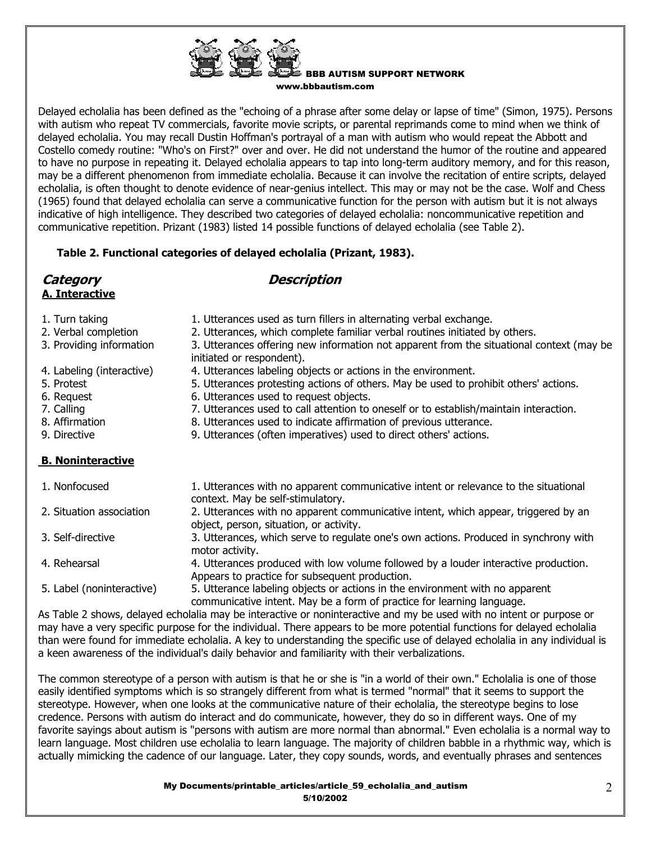Delayed echolalia has been defined as the "echoing of a phrase after some delay or lapse of time" (Simon, 1975). Persons with autism who repeat TV commercials, favorite movie scripts, or parental reprimands come to mind when we think of delayed echolalia. You may recall Dustin Hoffman's portrayal of a man with autism who would repeat the Abbott and Costello comedy routine: "Who's on First?" over and over. He did not understand the humor of the routine and appeared to have no purpose in repeating it. Delayed echolalia appears to tap into long-term auditory memory, and for this reason, may be a different phenomenon from immediate echolalia. Because it can involve the recitation of entire scripts, delayed echolalia, is often thought to denote evidence of near-genius intellect. This may or may not be the case. Wolf and Chess (1965) found that delayed echolalia can serve a communicative function for the person with autism but it is not always indicative of high intelligence. They described two categories of delayed echolalia: noncommunicative repetition and communicative repetition. Prizant (1983) listed 14 possible functions of delayed echolalia (see Table 2).

## **Table 2. Functional categories of delayed echolalia (Prizant, 1983).**

initiated or respondent).

| Category |                |  |
|----------|----------------|--|
|          | A. Interactive |  |

## **Description**

|  | AL 2009 9990 V |  |
|--|----------------|--|
|  |                |  |
|  |                |  |
|  |                |  |
|  |                |  |
|  |                |  |
|  |                |  |

- 1. Turn taking 1. Utterances used as turn fillers in alternating verbal exchange.
- 2. Verbal completion 2. Utterances, which complete familiar verbal routines initiated by others.
- 3. Providing information 3. Utterances offering new information not apparent from the situational context (may be
- 4. Labeling (interactive) 4. Utterances labeling objects or actions in the environment.
- 5. Protest 5. Utterances protesting actions of others. May be used to prohibit others' actions.
- 6. Request 6. Utterances used to request objects.
- 7. Calling T. Utterances used to call attention to oneself or to establish/maintain interaction.
- 8. Affirmation 8. Utterances used to indicate affirmation of previous utterance.
- 9. Directive 9. Utterances (often imperatives) used to direct others' actions.

## **B. Noninteractive**

| 1. Nonfocused             | 1. Utterances with no apparent communicative intent or relevance to the situational<br>context. May be self-stimulatory.                               |
|---------------------------|--------------------------------------------------------------------------------------------------------------------------------------------------------|
| 2. Situation association  | 2. Utterances with no apparent communicative intent, which appear, triggered by an<br>object, person, situation, or activity.                          |
| 3. Self-directive         | 3. Utterances, which serve to regulate one's own actions. Produced in synchrony with<br>motor activity.                                                |
| 4. Rehearsal              | 4. Utterances produced with low volume followed by a louder interactive production.<br>Appears to practice for subsequent production.                  |
| 5. Label (noninteractive) | 5. Utterance labeling objects or actions in the environment with no apparent<br>communicative intent. May be a form of practice for learning language. |

As Table 2 shows, delayed echolalia may be interactive or noninteractive and my be used with no intent or purpose or may have a very specific purpose for the individual. There appears to be more potential functions for delayed echolalia than were found for immediate echolalia. A key to understanding the specific use of delayed echolalia in any individual is a keen awareness of the individual's daily behavior and familiarity with their verbalizations.

The common stereotype of a person with autism is that he or she is "in a world of their own." Echolalia is one of those easily identified symptoms which is so strangely different from what is termed "normal" that it seems to support the stereotype. However, when one looks at the communicative nature of their echolalia, the stereotype begins to lose credence. Persons with autism do interact and do communicate, however, they do so in different ways. One of my favorite sayings about autism is "persons with autism are more normal than abnormal." Even echolalia is a normal way to learn language. Most children use echolalia to learn language. The majority of children babble in a rhythmic way, which is actually mimicking the cadence of our language. Later, they copy sounds, words, and eventually phrases and sentences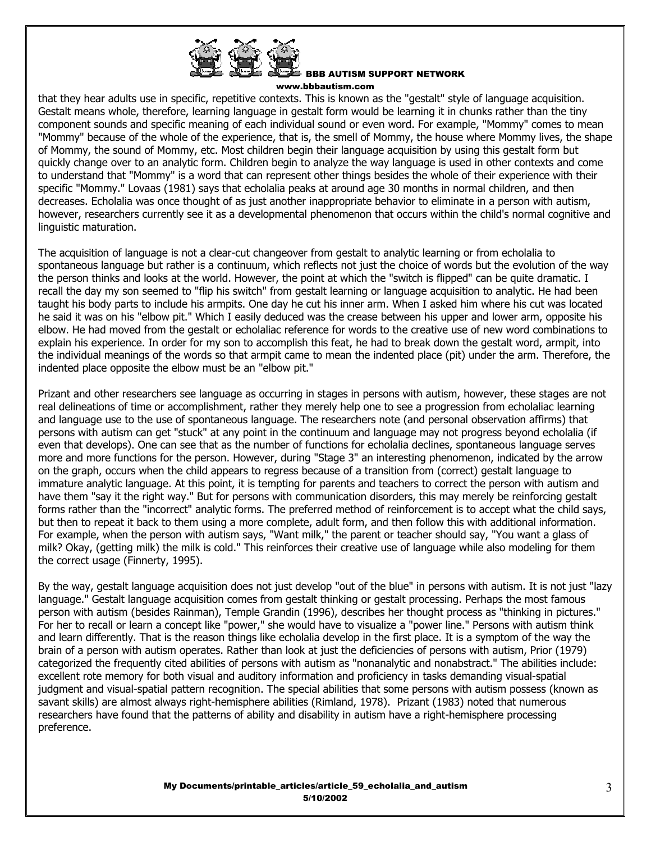

that they hear adults use in specific, repetitive contexts. This is known as the "gestalt" style of language acquisition. Gestalt means whole, therefore, learning language in gestalt form would be learning it in chunks rather than the tiny component sounds and specific meaning of each individual sound or even word. For example, "Mommy" comes to mean "Mommy" because of the whole of the experience, that is, the smell of Mommy, the house where Mommy lives, the shape of Mommy, the sound of Mommy, etc. Most children begin their language acquisition by using this gestalt form but quickly change over to an analytic form. Children begin to analyze the way language is used in other contexts and come to understand that "Mommy" is a word that can represent other things besides the whole of their experience with their specific "Mommy." Lovaas (1981) says that echolalia peaks at around age 30 months in normal children, and then decreases. Echolalia was once thought of as just another inappropriate behavior to eliminate in a person with autism, however, researchers currently see it as a developmental phenomenon that occurs within the child's normal cognitive and linguistic maturation.

The acquisition of language is not a clear-cut changeover from gestalt to analytic learning or from echolalia to spontaneous language but rather is a continuum, which reflects not just the choice of words but the evolution of the way the person thinks and looks at the world. However, the point at which the "switch is flipped" can be quite dramatic. I recall the day my son seemed to "flip his switch" from gestalt learning or language acquisition to analytic. He had been taught his body parts to include his armpits. One day he cut his inner arm. When I asked him where his cut was located he said it was on his "elbow pit." Which I easily deduced was the crease between his upper and lower arm, opposite his elbow. He had moved from the gestalt or echolaliac reference for words to the creative use of new word combinations to explain his experience. In order for my son to accomplish this feat, he had to break down the gestalt word, armpit, into the individual meanings of the words so that armpit came to mean the indented place (pit) under the arm. Therefore, the indented place opposite the elbow must be an "elbow pit."

Prizant and other researchers see language as occurring in stages in persons with autism, however, these stages are not real delineations of time or accomplishment, rather they merely help one to see a progression from echolaliac learning and language use to the use of spontaneous language. The researchers note (and personal observation affirms) that persons with autism can get "stuck" at any point in the continuum and language may not progress beyond echolalia (if even that develops). One can see that as the number of functions for echolalia declines, spontaneous language serves more and more functions for the person. However, during "Stage 3" an interesting phenomenon, indicated by the arrow on the graph, occurs when the child appears to regress because of a transition from (correct) gestalt language to immature analytic language. At this point, it is tempting for parents and teachers to correct the person with autism and have them "say it the right way." But for persons with communication disorders, this may merely be reinforcing gestalt forms rather than the "incorrect" analytic forms. The preferred method of reinforcement is to accept what the child says, but then to repeat it back to them using a more complete, adult form, and then follow this with additional information. For example, when the person with autism says, "Want milk," the parent or teacher should say, "You want a glass of milk? Okay, (getting milk) the milk is cold." This reinforces their creative use of language while also modeling for them the correct usage (Finnerty, 1995).

By the way, gestalt language acquisition does not just develop "out of the blue" in persons with autism. It is not just "lazy language." Gestalt language acquisition comes from gestalt thinking or gestalt processing. Perhaps the most famous person with autism (besides Rainman), Temple Grandin (1996), describes her thought process as "thinking in pictures." For her to recall or learn a concept like "power," she would have to visualize a "power line." Persons with autism think and learn differently. That is the reason things like echolalia develop in the first place. It is a symptom of the way the brain of a person with autism operates. Rather than look at just the deficiencies of persons with autism, Prior (1979) categorized the frequently cited abilities of persons with autism as "nonanalytic and nonabstract." The abilities include: excellent rote memory for both visual and auditory information and proficiency in tasks demanding visual-spatial judgment and visual-spatial pattern recognition. The special abilities that some persons with autism possess (known as savant skills) are almost always right-hemisphere abilities (Rimland, 1978). Prizant (1983) noted that numerous researchers have found that the patterns of ability and disability in autism have a right-hemisphere processing preference.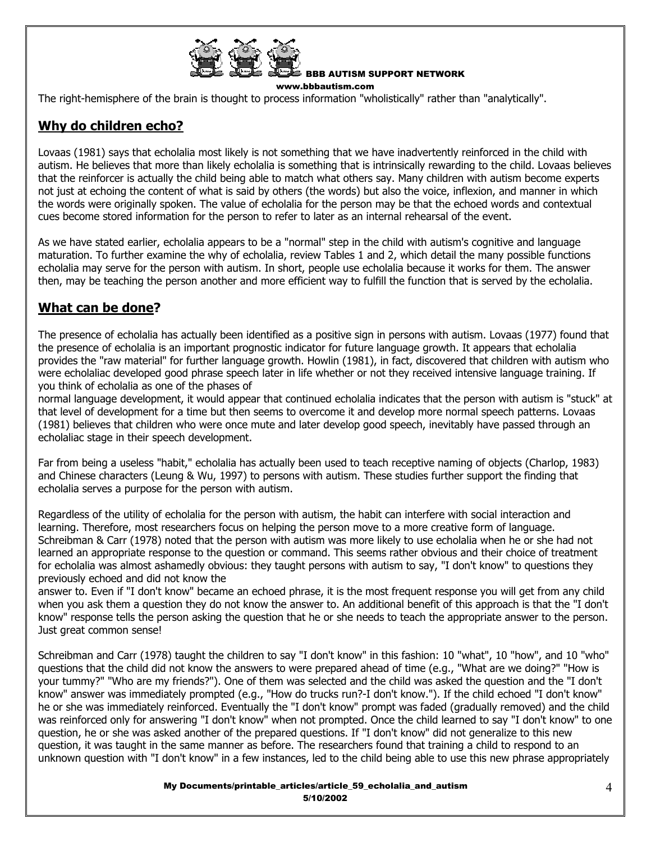

BBB AUTISM SUPPORT NETWORK

www.bbbautism.com

The right-hemisphere of the brain is thought to process information "wholistically" rather than "analytically".

# **Why do children echo?**

Lovaas (1981) says that echolalia most likely is not something that we have inadvertently reinforced in the child with autism. He believes that more than likely echolalia is something that is intrinsically rewarding to the child. Lovaas believes that the reinforcer is actually the child being able to match what others say. Many children with autism become experts not just at echoing the content of what is said by others (the words) but also the voice, inflexion, and manner in which the words were originally spoken. The value of echolalia for the person may be that the echoed words and contextual cues become stored information for the person to refer to later as an internal rehearsal of the event.

As we have stated earlier, echolalia appears to be a "normal" step in the child with autism's cognitive and language maturation. To further examine the why of echolalia, review Tables 1 and 2, which detail the many possible functions echolalia may serve for the person with autism. In short, people use echolalia because it works for them. The answer then, may be teaching the person another and more efficient way to fulfill the function that is served by the echolalia.

## **What can be done?**

The presence of echolalia has actually been identified as a positive sign in persons with autism. Lovaas (1977) found that the presence of echolalia is an important prognostic indicator for future language growth. It appears that echolalia provides the "raw material" for further language growth. Howlin (1981), in fact, discovered that children with autism who were echolaliac developed good phrase speech later in life whether or not they received intensive language training. If you think of echolalia as one of the phases of

normal language development, it would appear that continued echolalia indicates that the person with autism is "stuck" at that level of development for a time but then seems to overcome it and develop more normal speech patterns. Lovaas (1981) believes that children who were once mute and later develop good speech, inevitably have passed through an echolaliac stage in their speech development.

Far from being a useless "habit," echolalia has actually been used to teach receptive naming of objects (Charlop, 1983) and Chinese characters (Leung & Wu, 1997) to persons with autism. These studies further support the finding that echolalia serves a purpose for the person with autism.

Regardless of the utility of echolalia for the person with autism, the habit can interfere with social interaction and learning. Therefore, most researchers focus on helping the person move to a more creative form of language. Schreibman & Carr (1978) noted that the person with autism was more likely to use echolalia when he or she had not learned an appropriate response to the question or command. This seems rather obvious and their choice of treatment for echolalia was almost ashamedly obvious: they taught persons with autism to say, "I don't know" to questions they previously echoed and did not know the

answer to. Even if "I don't know" became an echoed phrase, it is the most frequent response you will get from any child when you ask them a question they do not know the answer to. An additional benefit of this approach is that the "I don't know" response tells the person asking the question that he or she needs to teach the appropriate answer to the person. Just great common sense!

Schreibman and Carr (1978) taught the children to say "I don't know" in this fashion: 10 "what", 10 "how", and 10 "who" questions that the child did not know the answers to were prepared ahead of time (e.g., "What are we doing?" "How is your tummy?" "Who are my friends?"). One of them was selected and the child was asked the question and the "I don't know" answer was immediately prompted (e.g., "How do trucks run?-I don't know."). If the child echoed "I don't know" he or she was immediately reinforced. Eventually the "I don't know" prompt was faded (gradually removed) and the child was reinforced only for answering "I don't know" when not prompted. Once the child learned to say "I don't know" to one question, he or she was asked another of the prepared questions. If "I don't know" did not generalize to this new question, it was taught in the same manner as before. The researchers found that training a child to respond to an unknown question with "I don't know" in a few instances, led to the child being able to use this new phrase appropriately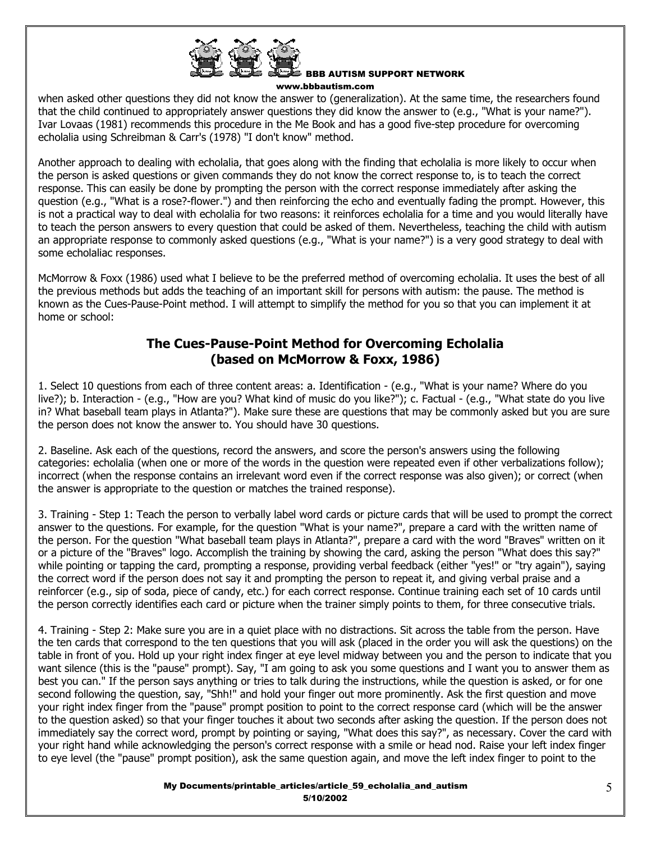

when asked other questions they did not know the answer to (generalization). At the same time, the researchers found that the child continued to appropriately answer questions they did know the answer to (e.g., "What is your name?"). Ivar Lovaas (1981) recommends this procedure in the Me Book and has a good five-step procedure for overcoming echolalia using Schreibman & Carr's (1978) "I don't know" method.

Another approach to dealing with echolalia, that goes along with the finding that echolalia is more likely to occur when the person is asked questions or given commands they do not know the correct response to, is to teach the correct response. This can easily be done by prompting the person with the correct response immediately after asking the question (e.g., "What is a rose?-flower.") and then reinforcing the echo and eventually fading the prompt. However, this is not a practical way to deal with echolalia for two reasons: it reinforces echolalia for a time and you would literally have to teach the person answers to every question that could be asked of them. Nevertheless, teaching the child with autism an appropriate response to commonly asked questions (e.g., "What is your name?") is a very good strategy to deal with some echolaliac responses.

McMorrow & Foxx (1986) used what I believe to be the preferred method of overcoming echolalia. It uses the best of all the previous methods but adds the teaching of an important skill for persons with autism: the pause. The method is known as the Cues-Pause-Point method. I will attempt to simplify the method for you so that you can implement it at home or school:

## **The Cues-Pause-Point Method for Overcoming Echolalia (based on McMorrow & Foxx, 1986)**

1. Select 10 questions from each of three content areas: a. Identification - (e.g., "What is your name? Where do you live?); b. Interaction - (e.g., "How are you? What kind of music do you like?"); c. Factual - (e.g., "What state do you live in? What baseball team plays in Atlanta?"). Make sure these are questions that may be commonly asked but you are sure the person does not know the answer to. You should have 30 questions.

2. Baseline. Ask each of the questions, record the answers, and score the person's answers using the following categories: echolalia (when one or more of the words in the question were repeated even if other verbalizations follow); incorrect (when the response contains an irrelevant word even if the correct response was also given); or correct (when the answer is appropriate to the question or matches the trained response).

3. Training - Step 1: Teach the person to verbally label word cards or picture cards that will be used to prompt the correct answer to the questions. For example, for the question "What is your name?", prepare a card with the written name of the person. For the question "What baseball team plays in Atlanta?", prepare a card with the word "Braves" written on it or a picture of the "Braves" logo. Accomplish the training by showing the card, asking the person "What does this say?" while pointing or tapping the card, prompting a response, providing verbal feedback (either "yes!" or "try again"), saying the correct word if the person does not say it and prompting the person to repeat it, and giving verbal praise and a reinforcer (e.g., sip of soda, piece of candy, etc.) for each correct response. Continue training each set of 10 cards until the person correctly identifies each card or picture when the trainer simply points to them, for three consecutive trials.

4. Training - Step 2: Make sure you are in a quiet place with no distractions. Sit across the table from the person. Have the ten cards that correspond to the ten questions that you will ask (placed in the order you will ask the questions) on the table in front of you. Hold up your right index finger at eye level midway between you and the person to indicate that you want silence (this is the "pause" prompt). Say, "I am going to ask you some questions and I want you to answer them as best you can." If the person says anything or tries to talk during the instructions, while the question is asked, or for one second following the question, say, "Shh!" and hold your finger out more prominently. Ask the first question and move your right index finger from the "pause" prompt position to point to the correct response card (which will be the answer to the question asked) so that your finger touches it about two seconds after asking the question. If the person does not immediately say the correct word, prompt by pointing or saying, "What does this say?", as necessary. Cover the card with your right hand while acknowledging the person's correct response with a smile or head nod. Raise your left index finger to eye level (the "pause" prompt position), ask the same question again, and move the left index finger to point to the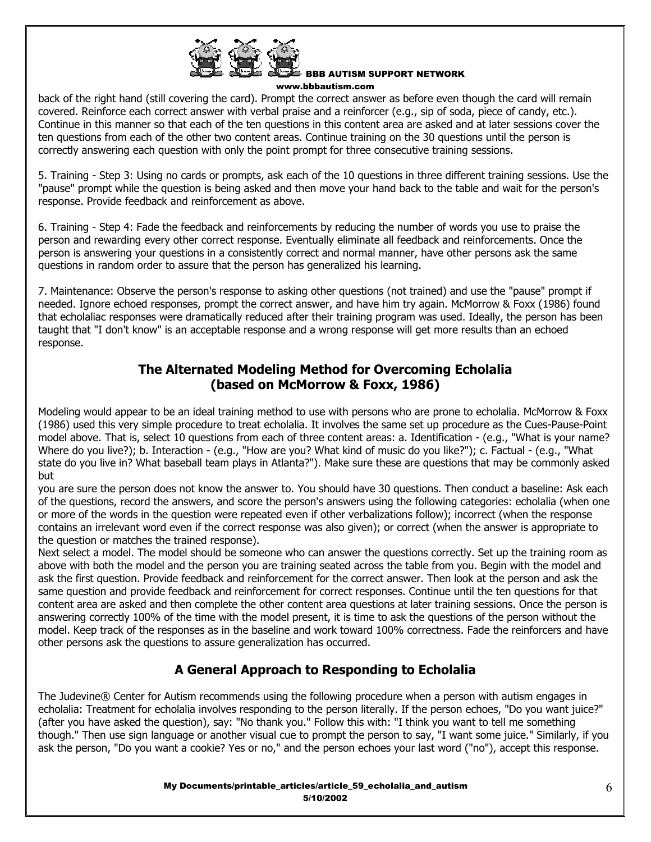

back of the right hand (still covering the card). Prompt the correct answer as before even though the card will remain covered. Reinforce each correct answer with verbal praise and a reinforcer (e.g., sip of soda, piece of candy, etc.). Continue in this manner so that each of the ten questions in this content area are asked and at later sessions cover the ten questions from each of the other two content areas. Continue training on the 30 questions until the person is correctly answering each question with only the point prompt for three consecutive training sessions.

5. Training - Step 3: Using no cards or prompts, ask each of the 10 questions in three different training sessions. Use the "pause" prompt while the question is being asked and then move your hand back to the table and wait for the person's response. Provide feedback and reinforcement as above.

6. Training - Step 4: Fade the feedback and reinforcements by reducing the number of words you use to praise the person and rewarding every other correct response. Eventually eliminate all feedback and reinforcements. Once the person is answering your questions in a consistently correct and normal manner, have other persons ask the same questions in random order to assure that the person has generalized his learning.

7. Maintenance: Observe the person's response to asking other questions (not trained) and use the "pause" prompt if needed. Ignore echoed responses, prompt the correct answer, and have him try again. McMorrow & Foxx (1986) found that echolaliac responses were dramatically reduced after their training program was used. Ideally, the person has been taught that "I don't know" is an acceptable response and a wrong response will get more results than an echoed response.

## **The Alternated Modeling Method for Overcoming Echolalia (based on McMorrow & Foxx, 1986)**

Modeling would appear to be an ideal training method to use with persons who are prone to echolalia. McMorrow & Foxx (1986) used this very simple procedure to treat echolalia. It involves the same set up procedure as the Cues-Pause-Point model above. That is, select 10 questions from each of three content areas: a. Identification - (e.g., "What is your name? Where do you live?); b. Interaction - (e.g., "How are you? What kind of music do you like?"); c. Factual - (e.g., "What state do you live in? What baseball team plays in Atlanta?"). Make sure these are questions that may be commonly asked but

you are sure the person does not know the answer to. You should have 30 questions. Then conduct a baseline: Ask each of the questions, record the answers, and score the person's answers using the following categories: echolalia (when one or more of the words in the question were repeated even if other verbalizations follow); incorrect (when the response contains an irrelevant word even if the correct response was also given); or correct (when the answer is appropriate to the question or matches the trained response).

Next select a model. The model should be someone who can answer the questions correctly. Set up the training room as above with both the model and the person you are training seated across the table from you. Begin with the model and ask the first question. Provide feedback and reinforcement for the correct answer. Then look at the person and ask the same question and provide feedback and reinforcement for correct responses. Continue until the ten questions for that content area are asked and then complete the other content area questions at later training sessions. Once the person is answering correctly 100% of the time with the model present, it is time to ask the questions of the person without the model. Keep track of the responses as in the baseline and work toward 100% correctness. Fade the reinforcers and have other persons ask the questions to assure generalization has occurred.

# **A General Approach to Responding to Echolalia**

The Judevine® Center for Autism recommends using the following procedure when a person with autism engages in echolalia: Treatment for echolalia involves responding to the person literally. If the person echoes, "Do you want juice?" (after you have asked the question), say: "No thank you." Follow this with: "I think you want to tell me something though." Then use sign language or another visual cue to prompt the person to say, "I want some juice." Similarly, if you ask the person, "Do you want a cookie? Yes or no," and the person echoes your last word ("no"), accept this response.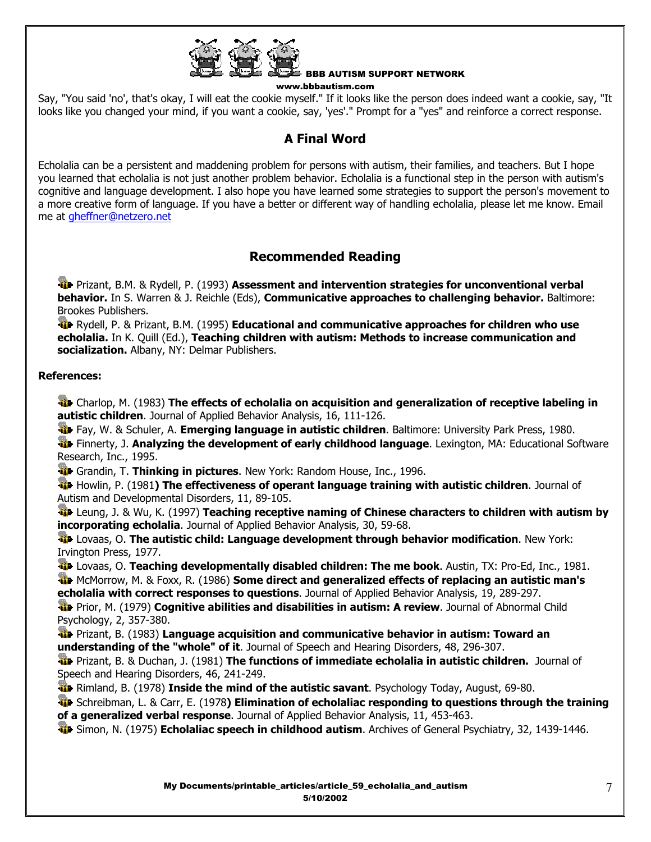

Say, "You said 'no', that's okay, I will eat the cookie myself." If it looks like the person does indeed want a cookie, say, "It looks like you changed your mind, if you want a cookie, say, 'yes'." Prompt for a "yes" and reinforce a correct response.

# **A Final Word**

Echolalia can be a persistent and maddening problem for persons with autism, their families, and teachers. But I hope you learned that echolalia is not just another problem behavior. Echolalia is a functional step in the person with autism's cognitive and language development. I also hope you have learned some strategies to support the person's movement to a more creative form of language. If you have a better or different way of handling echolalia, please let me know. Email me at gheffner@netzero.net

# **Recommended Reading**

 Prizant, B.M. & Rydell, P. (1993) **Assessment and intervention strategies for unconventional verbal behavior.** In S. Warren & J. Reichle (Eds), **Communicative approaches to challenging behavior.** Baltimore: Brookes Publishers.

 Rydell, P. & Prizant, B.M. (1995) **Educational and communicative approaches for children who use echolalia.** In K. Quill (Ed.), **Teaching children with autism: Methods to increase communication and socialization.** Albany, NY: Delmar Publishers.

## **References:**

 Charlop, M. (1983) **The effects of echolalia on acquisition and generalization of receptive labeling in autistic children**. Journal of Applied Behavior Analysis, 16, 111-126.

Fay, W. & Schuler, A. **Emerging language in autistic children**. Baltimore: University Park Press, 1980.

 Finnerty, J. **Analyzing the development of early childhood language**. Lexington, MA: Educational Software Research, Inc., 1995.

Grandin, T. **Thinking in pictures**. New York: Random House, Inc., 1996.

 Howlin, P. (1981**) The effectiveness of operant language training with autistic children**. Journal of Autism and Developmental Disorders, 11, 89-105.

 Leung, J. & Wu, K. (1997) **Teaching receptive naming of Chinese characters to children with autism by incorporating echolalia**. Journal of Applied Behavior Analysis, 30, 59-68.

 Lovaas, O. **The autistic child: Language development through behavior modification**. New York: Irvington Press, 1977.

 Lovaas, O. **Teaching developmentally disabled children: The me book**. Austin, TX: Pro-Ed, Inc., 1981. McMorrow, M. & Foxx, R. (1986) **Some direct and generalized effects of replacing an autistic man's echolalia with correct responses to questions**. Journal of Applied Behavior Analysis, 19, 289-297.

**Prior, M. (1979) Cognitive abilities and disabilities in autism: A review.** Journal of Abnormal Child Psychology, 2, 357-380.

 Prizant, B. (1983) **Language acquisition and communicative behavior in autism: Toward an understanding of the "whole" of it**. Journal of Speech and Hearing Disorders, 48, 296-307.

 Prizant, B. & Duchan, J. (1981) **The functions of immediate echolalia in autistic children.** Journal of Speech and Hearing Disorders, 46, 241-249.

**Rimland, B. (1978) Inside the mind of the autistic savant**. Psychology Today, August, 69-80.

 Schreibman, L. & Carr, E. (1978**) Elimination of echolaliac responding to questions through the training of a generalized verbal response**. Journal of Applied Behavior Analysis, 11, 453-463.

Simon, N. (1975) **Echolaliac speech in childhood autism**. Archives of General Psychiatry, 32, 1439-1446.